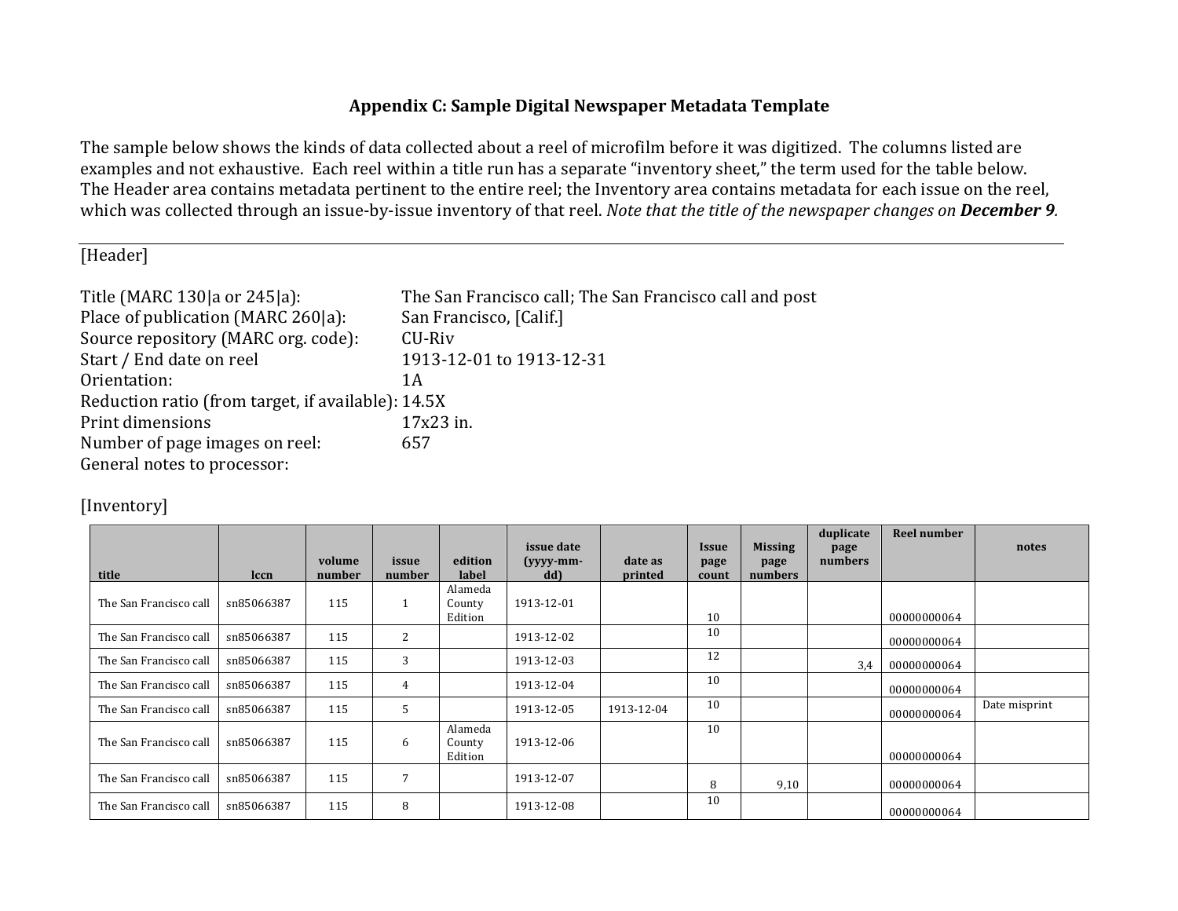## **Appendix C: Sample Digital Newspaper Metadata Template**

The sample below shows the kinds of data collected about a reel of microfilm before it was digitized. The columns listed are examples and not exhaustive. Each reel within a title run has a separate "inventory sheet," the term used for the table below. The Header area contains metadata pertinent to the entire reel; the Inventory area contains metadata for each issue on the reel, which was collected through an issue-by-issue inventory of that reel. *Note that the title of the newspaper changes on* December 9.

[Header]

| Title (MARC 130 a or 245 a):                       | The San Francisco call; The San Francisco call and post |
|----------------------------------------------------|---------------------------------------------------------|
| Place of publication (MARC 260 a):                 | San Francisco, [Calif.]                                 |
| Source repository (MARC org. code):                | CU-Riv                                                  |
| Start / End date on reel                           | 1913-12-01 to 1913-12-31                                |
| Orientation:                                       | 1 A                                                     |
| Reduction ratio (from target, if available): 14.5X |                                                         |
| Print dimensions                                   | 17x23 in.                                               |
| Number of page images on reel:                     | 657                                                     |
| General notes to processor:                        |                                                         |

## [Inventory]

|                        |             |                  |                 |                              | issue date         |                    | <i><b>Issue</b></i> | <b>Missing</b>  | duplicate<br>page | Reel number | notes         |
|------------------------|-------------|------------------|-----------------|------------------------------|--------------------|--------------------|---------------------|-----------------|-------------------|-------------|---------------|
| title                  | <b>lccn</b> | volume<br>number | issue<br>number | edition<br>label             | $(yyyy-mm-$<br>dd) | date as<br>printed | page<br>count       | page<br>numbers | numbers           |             |               |
| The San Francisco call | sn85066387  | 115              |                 | Alameda<br>County<br>Edition | 1913-12-01         |                    | 10                  |                 |                   | 00000000064 |               |
| The San Francisco call | sn85066387  | 115              | 2               |                              | 1913-12-02         |                    | 10                  |                 |                   | 00000000064 |               |
| The San Francisco call | sn85066387  | 115              | 3               |                              | 1913-12-03         |                    | 12                  |                 | 3,4               | 00000000064 |               |
| The San Francisco call | sn85066387  | 115              | 4               |                              | 1913-12-04         |                    | 10                  |                 |                   | 00000000064 |               |
| The San Francisco call | sn85066387  | 115              | 5               |                              | 1913-12-05         | 1913-12-04         | 10                  |                 |                   | 00000000064 | Date misprint |
| The San Francisco call | sn85066387  | 115              | 6               | Alameda<br>County<br>Edition | 1913-12-06         |                    | 10                  |                 |                   | 00000000064 |               |
| The San Francisco call | sn85066387  | 115              | 7               |                              | 1913-12-07         |                    | 8                   | 9,10            |                   | 00000000064 |               |
| The San Francisco call | sn85066387  | 115              | 8               |                              | 1913-12-08         |                    | 10                  |                 |                   | 00000000064 |               |